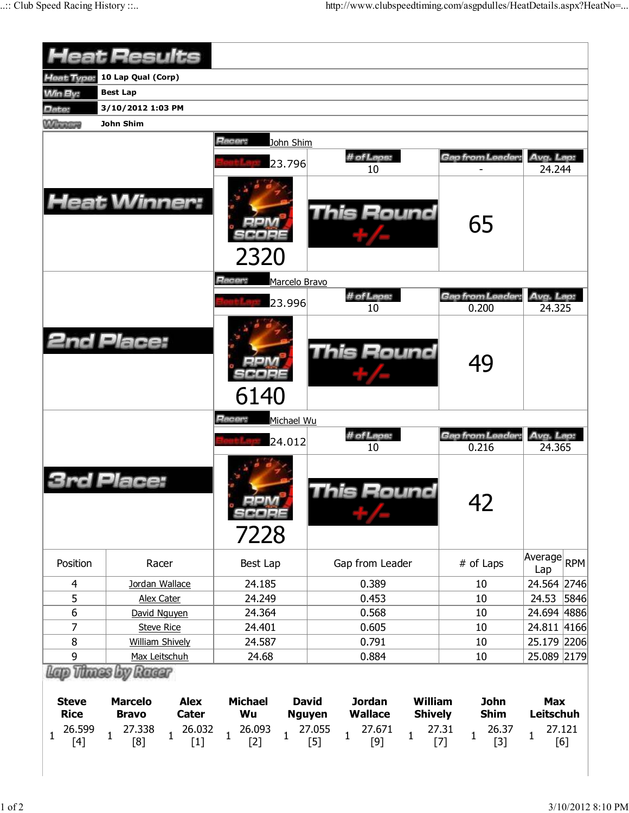|                                                              | <b>Heat Results</b>                                                                                                                |                                                                           |                                                                                                                                                                     |                                                                                |                                                                 |
|--------------------------------------------------------------|------------------------------------------------------------------------------------------------------------------------------------|---------------------------------------------------------------------------|---------------------------------------------------------------------------------------------------------------------------------------------------------------------|--------------------------------------------------------------------------------|-----------------------------------------------------------------|
| Heat Type:                                                   | 10 Lap Qual (Corp)                                                                                                                 |                                                                           |                                                                                                                                                                     |                                                                                |                                                                 |
| Win By:                                                      | <b>Best Lap</b>                                                                                                                    |                                                                           |                                                                                                                                                                     |                                                                                |                                                                 |
| Date:                                                        | 3/10/2012 1:03 PM                                                                                                                  |                                                                           |                                                                                                                                                                     |                                                                                |                                                                 |
| <b>Winnipeg</b>                                              | John Shim                                                                                                                          |                                                                           |                                                                                                                                                                     |                                                                                |                                                                 |
|                                                              |                                                                                                                                    | Racer:<br>John Shim                                                       |                                                                                                                                                                     |                                                                                |                                                                 |
|                                                              |                                                                                                                                    |                                                                           | # of Laps:                                                                                                                                                          | Gap from Leader                                                                | Avg. Lap:                                                       |
|                                                              |                                                                                                                                    | 23.796                                                                    | 10                                                                                                                                                                  |                                                                                | 24.244                                                          |
|                                                              | <b>Heat Winner:</b>                                                                                                                | 2320                                                                      | This Round                                                                                                                                                          | 65                                                                             |                                                                 |
|                                                              |                                                                                                                                    | Racer:<br>Marcelo Bravo                                                   |                                                                                                                                                                     |                                                                                |                                                                 |
|                                                              |                                                                                                                                    | 23.996                                                                    | # of Laps:                                                                                                                                                          | Gap from Leader:                                                               | Avg. Lap:                                                       |
|                                                              |                                                                                                                                    |                                                                           | 10                                                                                                                                                                  | 0.200                                                                          | 24.325                                                          |
|                                                              | <b>2nd Place:</b>                                                                                                                  | 6140                                                                      | <b>This Round</b>                                                                                                                                                   | 49                                                                             |                                                                 |
|                                                              |                                                                                                                                    |                                                                           |                                                                                                                                                                     |                                                                                |                                                                 |
|                                                              |                                                                                                                                    | 24.012                                                                    | # of Laps:<br>10                                                                                                                                                    | Gap from Leader:<br>0.216                                                      | Avg. Lap:<br>24.365                                             |
|                                                              | Place:                                                                                                                             | <b>COPE</b><br>7228                                                       | his Round                                                                                                                                                           | 42                                                                             |                                                                 |
| Position                                                     | Racer                                                                                                                              | Best Lap                                                                  | Gap from Leader                                                                                                                                                     | # of Laps                                                                      | Average<br><b>RPM</b><br>Lap                                    |
| 4                                                            | Jordan Wallace                                                                                                                     | 24.185                                                                    | 0.389                                                                                                                                                               | 10                                                                             | 24.564 2746                                                     |
| 5                                                            | Alex Cater                                                                                                                         | 24.249                                                                    | 0.453                                                                                                                                                               | 10                                                                             | 24.53<br>5846                                                   |
| 6                                                            | David Nguyen                                                                                                                       | 24.364                                                                    | 0.568                                                                                                                                                               | 10                                                                             | 24.694 4886                                                     |
| 7                                                            | <b>Steve Rice</b>                                                                                                                  | 24.401                                                                    | 0.605                                                                                                                                                               | 10                                                                             | 24.811 4166                                                     |
| $\bf 8$                                                      | <b>William Shively</b>                                                                                                             | 24.587                                                                    | 0.791                                                                                                                                                               | 10                                                                             | 25.179 2206                                                     |
| 9                                                            | Max Leitschuh                                                                                                                      | 24.68                                                                     | 0.884                                                                                                                                                               | 10                                                                             | 25.089 2179                                                     |
|                                                              | Lap Thues by Ruear                                                                                                                 |                                                                           |                                                                                                                                                                     |                                                                                |                                                                 |
| <b>Steve</b><br><b>Rice</b><br>26.599<br>$\mathbf{1}$<br>[4] | <b>Alex</b><br><b>Marcelo</b><br><b>Bravo</b><br><b>Cater</b><br>26.032<br>27.338<br>$\overline{1}$<br>$\mathbf 1$<br>[8]<br>$[1]$ | <b>Michael</b><br>Wu<br>26.093<br>$\overline{1}$<br>$\mathbf{1}$<br>$[2]$ | William<br><b>David</b><br><b>Jordan</b><br><b>Wallace</b><br><b>Shively</b><br><b>Nguyen</b><br>27.055<br>27.671<br>$\mathbf{1}$<br>$\mathbf{1}$<br>$[5]$<br>$[9]$ | <b>John</b><br><b>Shim</b><br>27.31<br>26.37<br>$\mathbf{1}$<br>$[7]$<br>$[3]$ | <b>Max</b><br><b>Leitschuh</b><br>27.121<br>$\mathbf{1}$<br>[6] |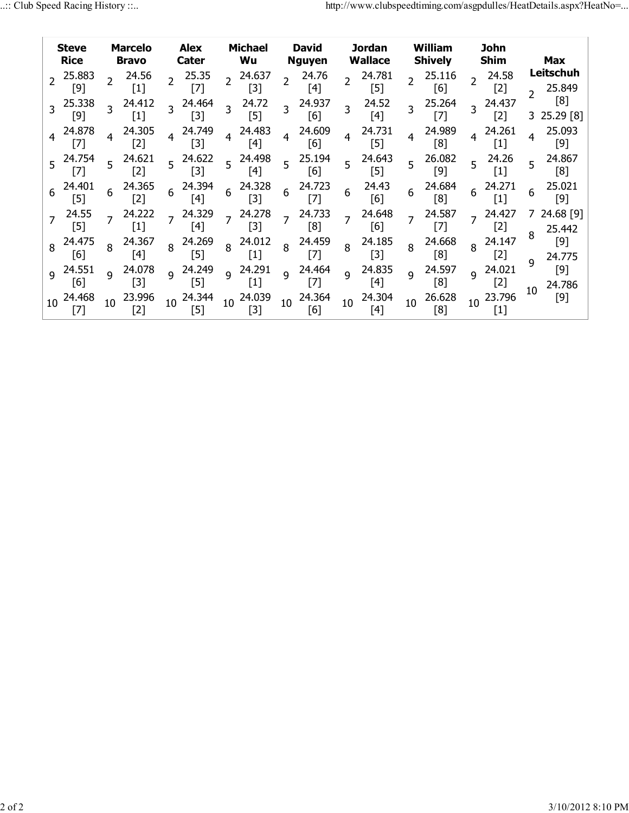| <b>Steve</b><br><b>Rice</b>   |                | <b>Marcelo</b><br><b>Bravo</b> |                 | <b>Alex</b><br>Cater  |                 | <b>Michael</b><br>Wu          |                 | <b>David</b><br>Nguyen |                | <b>Jordan</b><br>Wallace    |                | William<br><b>Shively</b>                                                                                                                                                                                                                                                                                                                                                                                                                                                                                        |                | <b>John</b><br><b>Shim</b> |         | Max                    |
|-------------------------------|----------------|--------------------------------|-----------------|-----------------------|-----------------|-------------------------------|-----------------|------------------------|----------------|-----------------------------|----------------|------------------------------------------------------------------------------------------------------------------------------------------------------------------------------------------------------------------------------------------------------------------------------------------------------------------------------------------------------------------------------------------------------------------------------------------------------------------------------------------------------------------|----------------|----------------------------|---------|------------------------|
| $2^{25.883}$<br>$[9]$         |                | 24.56<br>$[1]$                 | $\overline{2}$  | 25.35<br>$[7]$        | $\overline{2}$  | 24.637<br>$[3]$               | $\overline{2}$  | 24.76<br>$[4]$         | $\overline{2}$ | 24.781<br>$[5]$             | $\overline{2}$ | 25.116<br>[6]                                                                                                                                                                                                                                                                                                                                                                                                                                                                                                    | $\overline{2}$ | 24.58<br>$[2]$             | C       | Leitschuh<br>25.849    |
| 3 25.338<br>[9]               |                | 24.412<br>[1]                  | $\overline{3}$  | 24.464<br>$[3]$       | $\overline{3}$  | 24.72<br>$[5]$                | $\overline{3}$  | 24.937<br>[6]          | $\overline{3}$ | 24.52<br>[4]                | 3              | 25.264<br>$[7]$                                                                                                                                                                                                                                                                                                                                                                                                                                                                                                  | 3              | 24.437<br>$[2]$            |         | [8]<br>$3\;25.29\;[8]$ |
| 4 24.878<br>[7]               |                | 24.305<br>[2]                  | $\overline{4}$  | 24.749<br>$[3]$       | $\overline{4}$  | 24.483<br>[4]                 | $\overline{4}$  | 24.609<br>[6]          | $\overline{4}$ | 24.731<br>$\lceil 5 \rceil$ | $\overline{4}$ | 24.989<br>[8]                                                                                                                                                                                                                                                                                                                                                                                                                                                                                                    | $\overline{4}$ | 24.261<br> 1               | 4       | 25.093<br>[9]          |
| 5 24.754<br>[7]               |                | $5^{24.621}$<br>[2]            |                 | $5^{24.622}$<br>$[3]$ |                 | $5^{24.498}$<br>$[4]$         | 5 <sup>1</sup>  | 25.194<br>[6]          |                | $5^{24.643}$<br>[5]         | 5 <sup>1</sup> | 26.082<br>[9]                                                                                                                                                                                                                                                                                                                                                                                                                                                                                                    | 5              | 24.26<br>$[1]$             | 5       | 24.867<br>[8]          |
| 24.401<br>[5]                 | 6              | 24.365<br>[2]                  | $6\overline{6}$ | 24.394<br>[4]         | $6\overline{6}$ | 24.328<br>$\lceil 3 \rceil$   | $6\overline{6}$ | 24.723<br>[7]          | 6              | 24.43<br>$\lceil 6 \rceil$  | 6              | 24.684<br>[8]                                                                                                                                                                                                                                                                                                                                                                                                                                                                                                    | 6              | 24.271                     | 6       | 25.021<br>[9]          |
| 24.55<br>$\lceil 5 \rceil$    | $\overline{7}$ | 24.222<br>$[1]$                | $\overline{7}$  | 24.329<br>[4]         |                 | 7 24.278<br>$[3]$             | $\overline{7}$  | 24.733<br>[8]          | $\overline{7}$ | 24.648<br>[6]               | $\overline{7}$ | 24.587<br>$[7] \centering% \includegraphics[width=1\textwidth]{images/TransY.pdf} \caption{The first two different values of $d=3$ and $d=4$ (left) and $d=5$ (right) and $d=6$ (right) and $d=6$ (right) and $d=6$ (right) and $d=6$ (right) and $d=6$ (right) and $d=6$ (right) and $d=6$ (right) and $d=6$ (right) and $d=6$ (right) and $d=6$ (right) and $d=6$ (right) and $d=6$ (right) and $d=6$ (right) and $d=6$ (right) and $d=6$ (right) and $d=6$ (right) and $d=6$ (right) and $d=6$ (right) and $$ | $\overline{7}$ | 24.427<br>$[2]$            | 8       | 24.68 [9]<br>25.442    |
| 8 24.475<br>[6]               | 8              | 24.367<br>[4]                  |                 | 8 24.269<br>[5]       |                 | 8 24.012<br>$[1]$             | 8 <sup>8</sup>  | 24.459<br>$[7]$        | 8              | 24.185<br>$[3]$             | 8              | 24.668<br>[8]                                                                                                                                                                                                                                                                                                                                                                                                                                                                                                    | 8              | 24.147<br>[2]              | 9       | $[9]$<br>24.775        |
| 9 24.551<br>$\lceil 6 \rceil$ | $\mathsf{q}$   | 24.078<br>$\lceil 3 \rceil$    |                 | 9 24.249<br>$[5]$     |                 | 9 24.291<br>$\lceil 1 \rceil$ | 9               | 24.464<br>$[7]$        | $\overline{9}$ | 24.835<br>[4]               | $\overline{9}$ | 24.597<br>[8]                                                                                                                                                                                                                                                                                                                                                                                                                                                                                                    | $\mathsf{q}$   | 24.021<br>$[2]$            | $10-10$ | [9]<br>24.786          |
| 10 24.468<br>[7]              | 10             | 23.996<br>[2]                  |                 | 10 24.344<br>[5]      |                 | 10 24.039<br>[3]              | 10 <sup>1</sup> | 24.364<br>[6]          | 10             | 24.304<br>[4]               | 10             | 26.628<br>[8]                                                                                                                                                                                                                                                                                                                                                                                                                                                                                                    |                | 10 23.796                  |         | $[9]$                  |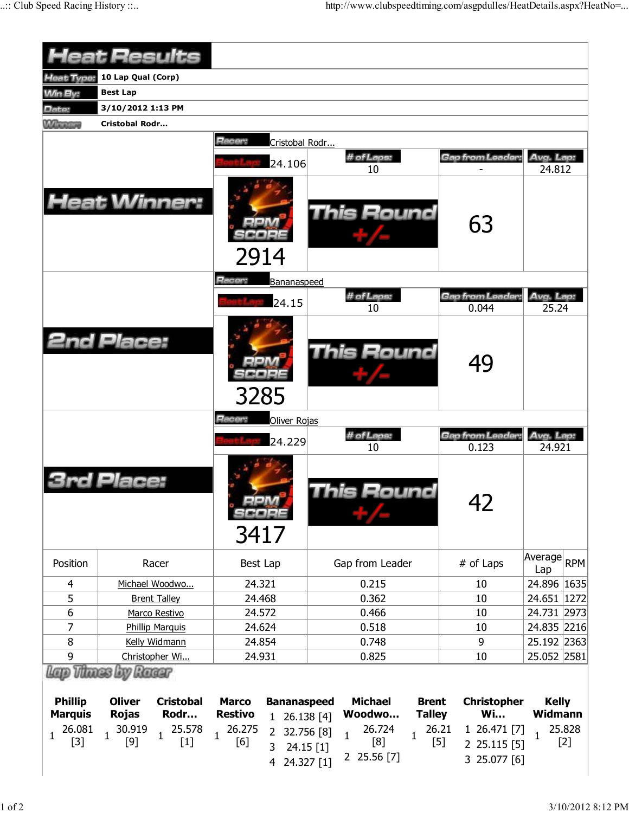| <b>Heat Results</b>                              |                                                                            |                                                                                             |                                                                                                                                  |                                                                             |                                            |  |  |  |  |  |  |  |
|--------------------------------------------------|----------------------------------------------------------------------------|---------------------------------------------------------------------------------------------|----------------------------------------------------------------------------------------------------------------------------------|-----------------------------------------------------------------------------|--------------------------------------------|--|--|--|--|--|--|--|
| Heat Type:                                       | 10 Lap Qual (Corp)                                                         |                                                                                             |                                                                                                                                  |                                                                             |                                            |  |  |  |  |  |  |  |
| <b>Min By:</b>                                   | <b>Best Lap</b>                                                            |                                                                                             |                                                                                                                                  |                                                                             |                                            |  |  |  |  |  |  |  |
| Date:                                            | 3/10/2012 1:13 PM                                                          |                                                                                             |                                                                                                                                  |                                                                             |                                            |  |  |  |  |  |  |  |
| <b>Williams</b>                                  | <b>Cristobal Rodr</b>                                                      |                                                                                             |                                                                                                                                  |                                                                             |                                            |  |  |  |  |  |  |  |
|                                                  |                                                                            | Racer:<br>Cristobal Rodr<br>24.106                                                          | # of Laps:<br>10                                                                                                                 | Gap from Leader                                                             | Avg. Lap:<br>24.812                        |  |  |  |  |  |  |  |
|                                                  | <b>Heat Winner:</b>                                                        | 2914                                                                                        | <b>This Round</b>                                                                                                                | 63                                                                          |                                            |  |  |  |  |  |  |  |
|                                                  |                                                                            | Racer:<br>Bananaspeed                                                                       |                                                                                                                                  |                                                                             |                                            |  |  |  |  |  |  |  |
|                                                  |                                                                            | 24.15                                                                                       | # of Laps:<br>10                                                                                                                 | Gap from Leader<br>0.044                                                    | Avg. Lap:<br>25.24                         |  |  |  |  |  |  |  |
|                                                  | <b>2nd Place:</b>                                                          | 3285                                                                                        | This Round                                                                                                                       | 49                                                                          |                                            |  |  |  |  |  |  |  |
|                                                  |                                                                            | Racer:<br>Oliver Rojas                                                                      |                                                                                                                                  |                                                                             |                                            |  |  |  |  |  |  |  |
|                                                  |                                                                            | 24.229                                                                                      | # of Laps:<br>10                                                                                                                 | Gap from Leader:<br>0.123                                                   | Avg. Lap:<br>24.921                        |  |  |  |  |  |  |  |
|                                                  | Place:                                                                     | scope<br>3417                                                                               | his Round                                                                                                                        | 42                                                                          |                                            |  |  |  |  |  |  |  |
| Position                                         | Racer                                                                      | Best Lap                                                                                    | Gap from Leader                                                                                                                  | # of Laps                                                                   | Average<br><b>RPM</b><br>Lap               |  |  |  |  |  |  |  |
| 4                                                | Michael Woodwo                                                             | 24.321                                                                                      | 0.215                                                                                                                            | 10                                                                          | 24.896 1635                                |  |  |  |  |  |  |  |
| 5                                                | <b>Brent Talley</b>                                                        | 24.468                                                                                      | 0.362                                                                                                                            | 10                                                                          | 24.651 1272                                |  |  |  |  |  |  |  |
| 6                                                | Marco Restivo                                                              | 24.572                                                                                      | 0.466                                                                                                                            | 10                                                                          | 24.731 2973                                |  |  |  |  |  |  |  |
| 7                                                | <b>Phillip Marquis</b>                                                     | 24.624                                                                                      | 0.518                                                                                                                            | 10                                                                          | 24.835 2216                                |  |  |  |  |  |  |  |
| 8                                                | Kelly Widmann                                                              | 24.854                                                                                      | 0.748                                                                                                                            | 9                                                                           | 25.192 2363                                |  |  |  |  |  |  |  |
| 9                                                | Christopher Wi                                                             | 24.931                                                                                      | 0.825                                                                                                                            | 10                                                                          | 25.052 2581                                |  |  |  |  |  |  |  |
| <b>Phillip</b>                                   | Lano Thunas by Ranar<br><b>Oliver</b><br><b>Cristobal</b>                  | <b>Marco</b><br><b>Bananaspeed</b>                                                          | <b>Michael</b><br><b>Brent</b>                                                                                                   | <b>Christopher</b>                                                          | <b>Kelly</b>                               |  |  |  |  |  |  |  |
| <b>Marquis</b><br>26.081<br>$\mathbf 1$<br>$[3]$ | <b>Rojas</b><br>Rodr<br>30.919<br>25.578<br>$\mathbf{1}$<br>$[9]$<br>$[1]$ | <b>Restivo</b><br>1 26.138 [4]<br>26.275<br>$\overline{2}$<br>$\mathbf{1}$<br>[6]<br>3<br>4 | Woodwo<br><b>Talley</b><br>26.724<br>32.756 [8]<br>$\mathbf{1}$<br>$\mathbf{1}$<br>[8]<br>24.15 [1]<br>2 25.56 [7]<br>24.327 [1] | <b>Wi</b><br>26.21<br>1 26.471 [7]<br>$[5]$<br>2 25.115 [5]<br>3 25.077 [6] | Widmann<br>25.828<br>$\mathbf{1}$<br>$[2]$ |  |  |  |  |  |  |  |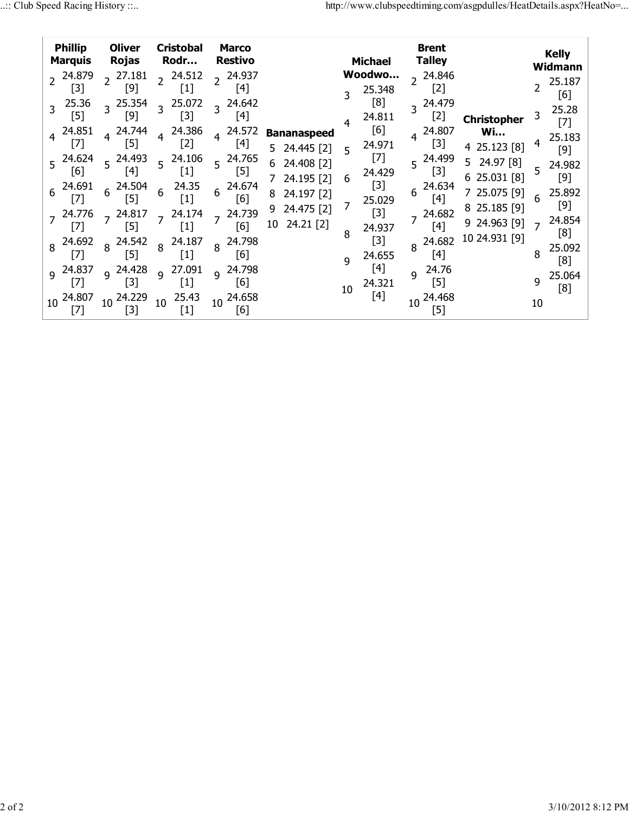| <b>Phillip</b><br><b>Marquis</b>                                                                                         | <b>Oliver</b><br>Rojas                                                                                                              | <b>Cristobal</b><br>Rodr…                                                                                                                                                                                | <b>Marco</b><br><b>Restivo</b>                                                                                                                  |                                                                                                                                    |                  | <b>Michael</b>                                                                                              | Brent<br><b>Talley</b>                                                                                                                           |                                                                                                                                                 |                                    | <b>Kelly</b><br>Widmann                                                                                   |
|--------------------------------------------------------------------------------------------------------------------------|-------------------------------------------------------------------------------------------------------------------------------------|----------------------------------------------------------------------------------------------------------------------------------------------------------------------------------------------------------|-------------------------------------------------------------------------------------------------------------------------------------------------|------------------------------------------------------------------------------------------------------------------------------------|------------------|-------------------------------------------------------------------------------------------------------------|--------------------------------------------------------------------------------------------------------------------------------------------------|-------------------------------------------------------------------------------------------------------------------------------------------------|------------------------------------|-----------------------------------------------------------------------------------------------------------|
| 2 24.879<br>[3]<br>25.36<br>$[5]$<br>4 24.851<br>[7]<br>$5^{24.624}$<br>[6]<br>24.691<br>6<br>[7]<br>$7^{24.776}$<br>[7] | 27.181<br>$[9]$<br>$3^{25.354}$<br>[9]<br>4 24.744<br>$[5]$<br>$5^{24.493}$<br>$[4]$<br>24.504<br>6<br>[5]<br>$7^{24.817}$<br>$[5]$ | 24.512<br>$\overline{2}$<br>25.072<br>$\overline{3}$<br>[3]<br>24.386<br>$\overline{4}$<br>[2]<br>$5^{24.106}$<br>$\left[ 1\right]$<br>24.35<br>6<br>$\left[1\right]$<br>24.174<br>$\overline{7}$<br>[1] | 24.937<br>$[4]$<br>$3^{24.642}$<br>$[4]$<br>24.572<br>$\overline{4}$<br>$[4]$<br>$5^{24.765}$<br>$[5]$<br>24.674<br>6<br>[6]<br>7 24.739<br>[6] | <b>Bananaspeed</b><br>5.<br>24.445 [2]<br>24.408 [2]<br>6<br>24.195 [2]<br>24.197 [2]<br>8<br>24.475 [2]<br>9<br>$24.21$ [2]<br>10 | 5<br>6<br>7<br>8 | Woodwo<br>25.348<br>[8]<br>24.811<br>[6]<br>24.971<br>$[7]$<br>24.429<br>$[3]$<br>25.029<br>$[3]$<br>24.937 | 24.846<br>$[2]$<br>24.479<br>$\overline{\mathbf{z}}$<br>$[2]$<br>24.807<br>$[3]$<br>5 24.499<br>$[3]$<br>24.634<br>6<br>$[4]$<br>24.682<br>$[4]$ | <b>Christopher</b><br><b>Wi</b><br>4 25.123 [8]<br>24.97 [8]<br>5.<br>625.031[8]<br>25.075 [9]<br>8 25.185 [9]<br>9 24.963 [9]<br>10 24.931 [9] | 3<br>4<br>5<br>6<br>$\overline{ }$ | 25.187<br>[6]<br>25.28<br>$[7]$<br>25.183<br>$[9]$<br>24.982<br>$[9]$<br>25.892<br>$[9]$<br>24.854<br>[8] |
| 8 24.692<br>$[7]$<br>$9^{24.837}$<br>$[7]$                                                                               | $8^{24.542}$<br>[5]<br>$9^{24.428}$<br>$[3]$                                                                                        | 24.187<br>8<br> 1 <br>27.091<br>$\overline{9}$<br> 1                                                                                                                                                     | 24.798<br>8<br>[6]<br>9 24.798<br>[6]                                                                                                           |                                                                                                                                    | q                | $[3]$<br>24.655<br>$[4]$                                                                                    | 24.682<br>$[4]$<br>24.76<br>q<br>$[5]$                                                                                                           |                                                                                                                                                 | 8<br>q                             | 25.092<br>[8]<br>25.064                                                                                   |
| 24.807<br>10<br>[7]                                                                                                      | 10 24.229<br>[3]                                                                                                                    | 25.43<br>10<br>$\left[ 1 \right]$                                                                                                                                                                        | 24.658<br>10 <sup>°</sup><br>[6]                                                                                                                |                                                                                                                                    | 10               | 24.321<br>[4]                                                                                               | 24.468<br>10<br>[5]                                                                                                                              |                                                                                                                                                 | 10                                 | [8]                                                                                                       |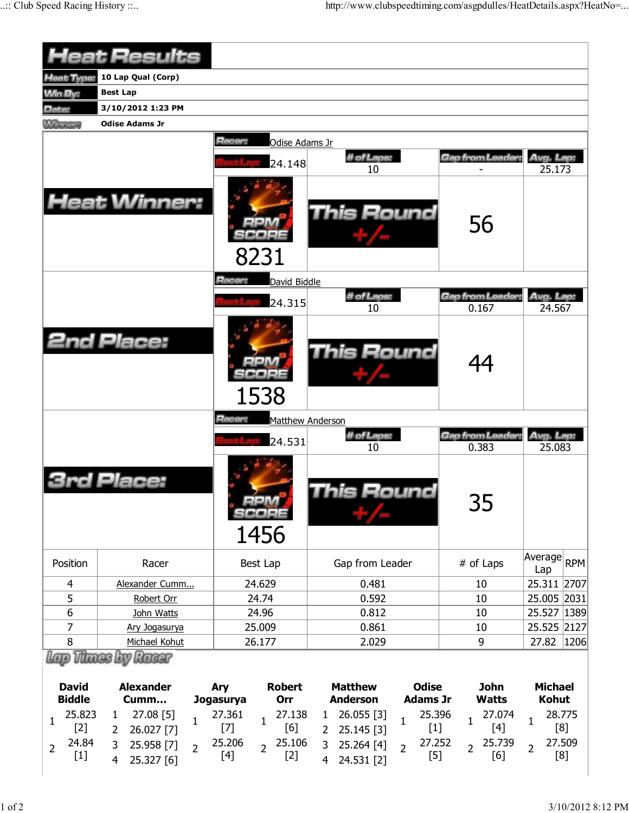|                                                                      | <b>Heat Results</b>                                                                                                                       |                                                                                                      |                                                                                                                                                                   |                                                                   |                                                                  |  |  |  |  |  |  |  |
|----------------------------------------------------------------------|-------------------------------------------------------------------------------------------------------------------------------------------|------------------------------------------------------------------------------------------------------|-------------------------------------------------------------------------------------------------------------------------------------------------------------------|-------------------------------------------------------------------|------------------------------------------------------------------|--|--|--|--|--|--|--|
| Heat Type:                                                           | 10 Lap Qual (Corp)                                                                                                                        |                                                                                                      |                                                                                                                                                                   |                                                                   |                                                                  |  |  |  |  |  |  |  |
| <b>Min By:</b>                                                       | <b>Best Lap</b>                                                                                                                           |                                                                                                      |                                                                                                                                                                   |                                                                   |                                                                  |  |  |  |  |  |  |  |
| Date:                                                                | 3/10/2012 1:23 PM                                                                                                                         |                                                                                                      |                                                                                                                                                                   |                                                                   |                                                                  |  |  |  |  |  |  |  |
| <b>Winners</b>                                                       | <b>Odise Adams Jr</b>                                                                                                                     |                                                                                                      |                                                                                                                                                                   |                                                                   |                                                                  |  |  |  |  |  |  |  |
|                                                                      |                                                                                                                                           | Racer:<br>Odise Adams Jr<br>24.148                                                                   | # of Laps:<br>10                                                                                                                                                  | Gap from Leader:                                                  | Avg. Lap:<br>25.173                                              |  |  |  |  |  |  |  |
|                                                                      | <b>Heat Winner:</b>                                                                                                                       | 8231                                                                                                 | <b>This Round</b>                                                                                                                                                 | 56                                                                |                                                                  |  |  |  |  |  |  |  |
|                                                                      |                                                                                                                                           | Racer:<br>David Biddle                                                                               |                                                                                                                                                                   |                                                                   |                                                                  |  |  |  |  |  |  |  |
|                                                                      |                                                                                                                                           | 24.315                                                                                               | # of Laps:                                                                                                                                                        | <b>Gap from Leader</b>                                            | Avg. Lap:                                                        |  |  |  |  |  |  |  |
|                                                                      |                                                                                                                                           |                                                                                                      | 10                                                                                                                                                                | 0.167                                                             | 24.567                                                           |  |  |  |  |  |  |  |
|                                                                      | <b>2nd Place:</b>                                                                                                                         | 1538                                                                                                 | <b>This Round</b>                                                                                                                                                 | 44                                                                |                                                                  |  |  |  |  |  |  |  |
| Racer:<br>Matthew Anderson                                           |                                                                                                                                           |                                                                                                      |                                                                                                                                                                   |                                                                   |                                                                  |  |  |  |  |  |  |  |
|                                                                      |                                                                                                                                           | 24.531                                                                                               | # of Laps:<br>10                                                                                                                                                  | Gap from Leader:<br>0.383                                         | Avg. Lap:<br>25.083                                              |  |  |  |  |  |  |  |
|                                                                      | Place:                                                                                                                                    | 1456                                                                                                 | iis Round                                                                                                                                                         | חר<br>35                                                          |                                                                  |  |  |  |  |  |  |  |
| Position                                                             | Racer                                                                                                                                     | Best Lap                                                                                             | Gap from Leader                                                                                                                                                   | # of Laps                                                         | Average<br><b>RPM</b><br>Lap                                     |  |  |  |  |  |  |  |
| $\overline{4}$                                                       | Alexander Cumm                                                                                                                            | 24.629                                                                                               | 0.481                                                                                                                                                             | 10                                                                | 25.311 2707                                                      |  |  |  |  |  |  |  |
| 5                                                                    | Robert Orr                                                                                                                                | 24.74                                                                                                | 0.592                                                                                                                                                             | 10                                                                | 25.005 2031                                                      |  |  |  |  |  |  |  |
| $\boldsymbol{6}$                                                     | John Watts                                                                                                                                | 24.96                                                                                                | 0.812                                                                                                                                                             | 10                                                                | 25.527 1389                                                      |  |  |  |  |  |  |  |
| 7                                                                    | Ary Jogasurya                                                                                                                             | 25.009                                                                                               | 0.861                                                                                                                                                             | 10                                                                | 25.525 2127                                                      |  |  |  |  |  |  |  |
| 8                                                                    | Michael Kohut                                                                                                                             | 26.177                                                                                               | 2.029                                                                                                                                                             | 9                                                                 | 27.82<br> 1206                                                   |  |  |  |  |  |  |  |
| v Racar<br><b>David</b><br><b>Alexander</b><br><b>Biddle</b><br>Cumm |                                                                                                                                           | <b>Robert</b><br>Ary<br>Orr<br>Jogasurya                                                             | <b>Matthew</b><br><b>Odise</b><br><b>Adams Jr</b><br><b>Anderson</b>                                                                                              | <b>John</b><br><b>Watts</b>                                       | <b>Michael</b><br><b>Kohut</b>                                   |  |  |  |  |  |  |  |
| 25.823<br>1<br>$[2]$<br>24.84<br>2<br>$[1]$                          | 27.08 [5]<br>$\mathbf{1}$<br>$\mathbf{1}$<br>26.027 [7]<br>$\overline{2}$<br>$\overline{3}$<br>25.958 [7]<br>$\overline{2}$<br>ראז לכל אל | 27.361<br>27.138<br>$\mathbf{1}$<br>[6]<br>$[7]$<br>25.206<br>25.106<br>$\overline{2}$<br>[4]<br>[2] | 25.396<br>26.055 [3]<br>$\mathbf{1}$<br>$\mathbf{1}$<br>$[1]$<br>25.145 [3]<br>$\overline{2}$<br>27.252<br>3<br>25.264 [4]<br>$\overline{2}$<br>$[5]$<br>24521521 | 27.074<br>$\mathbf 1$<br>$[4]$<br>25.739<br>$\overline{2}$<br>[6] | 28.775<br>$\mathbf{1}$<br>[8]<br>27.509<br>$\overline{2}$<br>[8] |  |  |  |  |  |  |  |

4 24.531 [2]

4 25.327 [6]